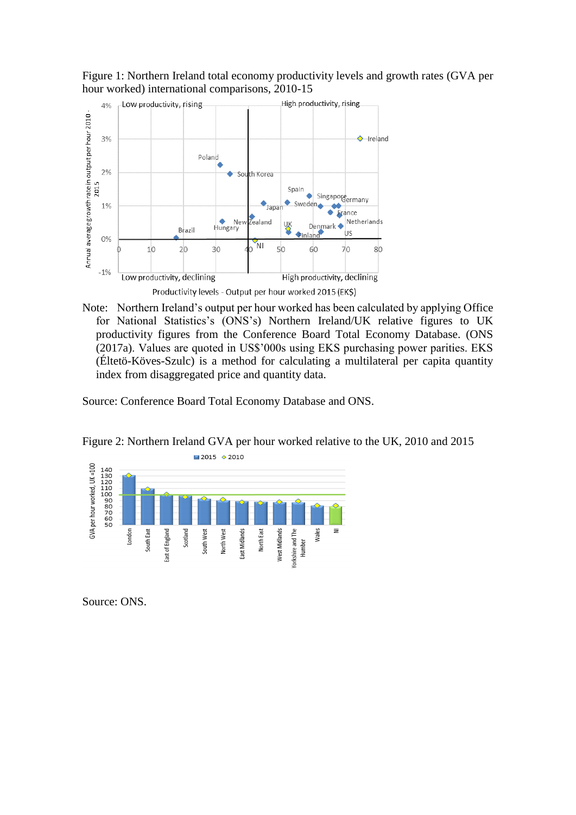

Figure 1: Northern Ireland total economy productivity levels and growth rates (GVA per hour worked) international comparisons, 2010-15

Note: Northern Ireland's output per hour worked has been calculated by applying Office for National Statistics's (ONS's) Northern Ireland/UK relative figures to UK productivity figures from the Conference Board Total Economy Database. (ONS (2017a). Values are quoted in US\$'000s using EKS purchasing power parities. EKS (Éltetö-Köves-Szulc) is a method for calculating a multilateral per capita quantity index from disaggregated price and quantity data.

Source: Conference Board Total Economy Database and ONS.



Figure 2: Northern Ireland GVA per hour worked relative to the UK, 2010 and 2015

Source: ONS.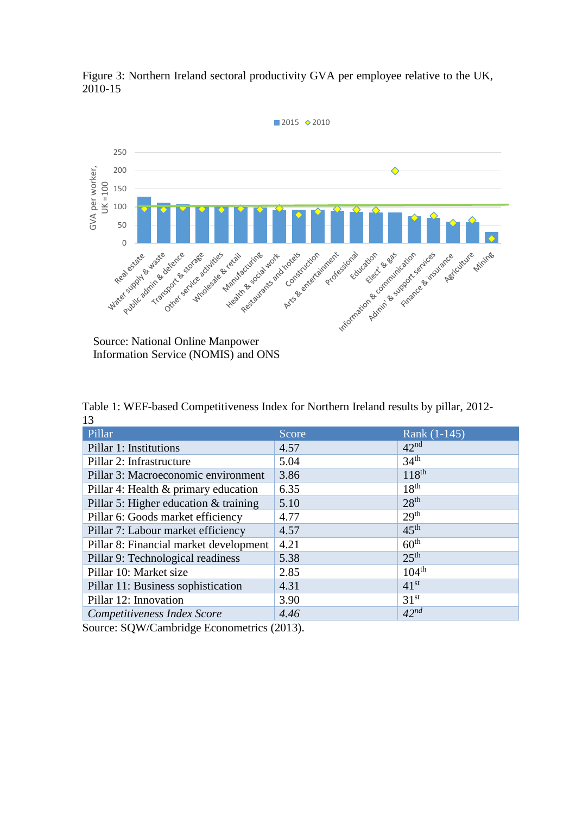

Figure 3: Northern Ireland sectoral productivity GVA per employee relative to the UK, 2010-15

Source: National Online Manpower Information Service (NOMIS) and ONS

Table 1: WEF-based Competitiveness Index for Northern Ireland results by pillar, 2012- 13

| Pillar                                 | Score | Rank $(1-145)$    |
|----------------------------------------|-------|-------------------|
| Pillar 1: Institutions                 | 4.57  | 42 <sup>nd</sup>  |
| Pillar 2: Infrastructure               | 5.04  | 34 <sup>th</sup>  |
| Pillar 3: Macroeconomic environment    | 3.86  | $118^{th}$        |
| Pillar 4: Health & primary education   | 6.35  | 18 <sup>th</sup>  |
| Pillar 5: Higher education & training  | 5.10  | 28 <sup>th</sup>  |
| Pillar 6: Goods market efficiency      | 4.77  | 29 <sup>th</sup>  |
| Pillar 7: Labour market efficiency     | 4.57  | $45^{\text{th}}$  |
| Pillar 8: Financial market development | 4.21  | 60 <sup>th</sup>  |
| Pillar 9: Technological readiness      | 5.38  | 25 <sup>th</sup>  |
| Pillar 10: Market size                 | 2.85  | 104 <sup>th</sup> |
| Pillar 11: Business sophistication     | 4.31  | 41 <sup>st</sup>  |
| Pillar 12: Innovation                  | 3.90  | 31 <sup>st</sup>  |
| Competitiveness Index Score            | 4.46  | $42^{nd}$         |

Source: SQW/Cambridge Econometrics (2013).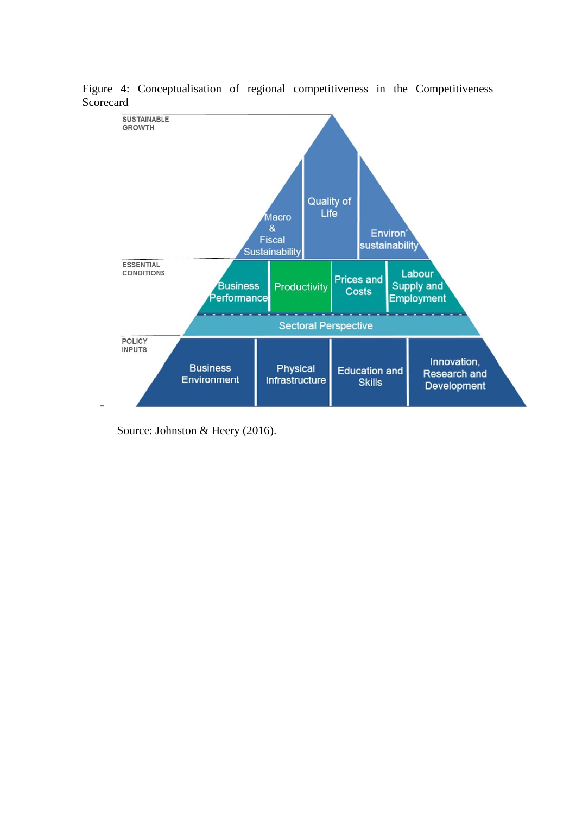

Figure 4: Conceptualisation of regional competitiveness in the Competitiveness Scorecard

Source: Johnston & Heery (2016).